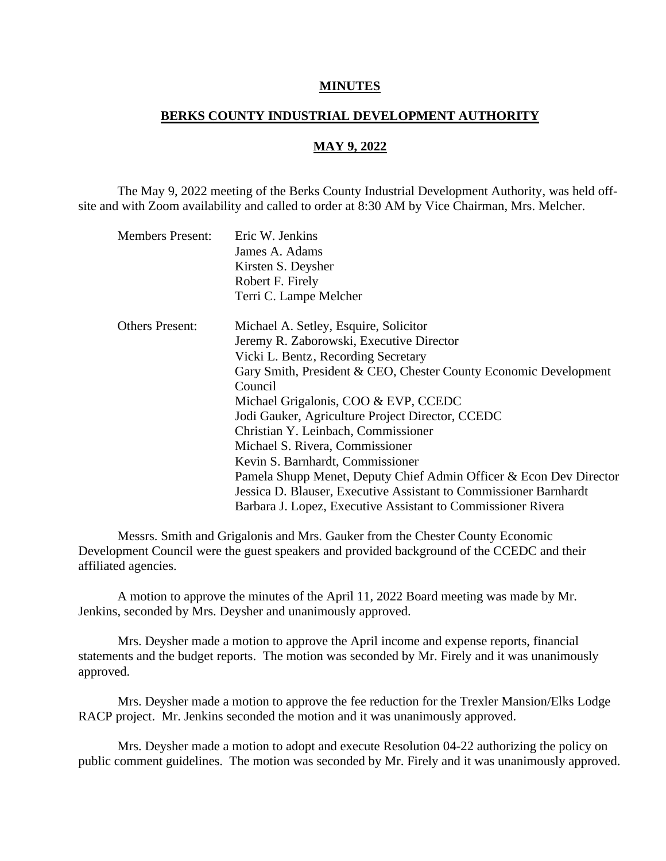## **MINUTES**

## **BERKS COUNTY INDUSTRIAL DEVELOPMENT AUTHORITY**

## **MAY 9, 2022**

The May 9, 2022 meeting of the Berks County Industrial Development Authority, was held offsite and with Zoom availability and called to order at 8:30 AM by Vice Chairman, Mrs. Melcher.

| <b>Members Present:</b> | Eric W. Jenkins                                                    |
|-------------------------|--------------------------------------------------------------------|
|                         | James A. Adams                                                     |
|                         | Kirsten S. Deysher                                                 |
|                         | Robert F. Firely                                                   |
|                         | Terri C. Lampe Melcher                                             |
| <b>Others Present:</b>  | Michael A. Setley, Esquire, Solicitor                              |
|                         | Jeremy R. Zaborowski, Executive Director                           |
|                         | Vicki L. Bentz, Recording Secretary                                |
|                         | Gary Smith, President & CEO, Chester County Economic Development   |
|                         | Council                                                            |
|                         | Michael Grigalonis, COO & EVP, CCEDC                               |
|                         | Jodi Gauker, Agriculture Project Director, CCEDC                   |
|                         | Christian Y. Leinbach, Commissioner                                |
|                         | Michael S. Rivera, Commissioner                                    |
|                         | Kevin S. Barnhardt, Commissioner                                   |
|                         | Pamela Shupp Menet, Deputy Chief Admin Officer & Econ Dev Director |
|                         | Jessica D. Blauser, Executive Assistant to Commissioner Barnhardt  |
|                         | Barbara J. Lopez, Executive Assistant to Commissioner Rivera       |

Messrs. Smith and Grigalonis and Mrs. Gauker from the Chester County Economic Development Council were the guest speakers and provided background of the CCEDC and their affiliated agencies.

A motion to approve the minutes of the April 11, 2022 Board meeting was made by Mr. Jenkins, seconded by Mrs. Deysher and unanimously approved.

Mrs. Deysher made a motion to approve the April income and expense reports, financial statements and the budget reports. The motion was seconded by Mr. Firely and it was unanimously approved.

Mrs. Deysher made a motion to approve the fee reduction for the Trexler Mansion/Elks Lodge RACP project. Mr. Jenkins seconded the motion and it was unanimously approved.

Mrs. Deysher made a motion to adopt and execute Resolution 04-22 authorizing the policy on public comment guidelines. The motion was seconded by Mr. Firely and it was unanimously approved.